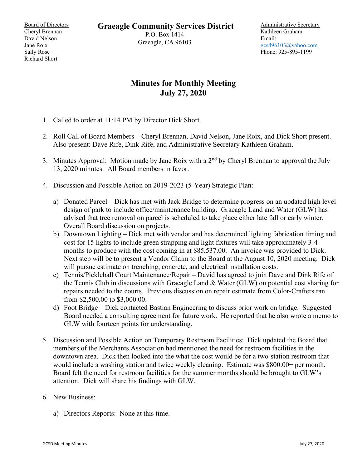Board of Directors Cheryl Brennan David Nelson Jane Roix Sally Rose Richard Short

Graeagle Community Services District

P.O. Box 1414 Graeagle, CA 96103 Administrative Secretary Kathleen Graham Email: gcsd96103@yahoo.com Phone: 925-895-1199

## Minutes for Monthly Meeting July 27, 2020

- 1. Called to order at 11:14 PM by Director Dick Short.
- 2. Roll Call of Board Members Cheryl Brennan, David Nelson, Jane Roix, and Dick Short present. Also present: Dave Rife, Dink Rife, and Administrative Secretary Kathleen Graham.
- 3. Minutes Approval: Motion made by Jane Roix with a  $2<sup>nd</sup>$  by Cheryl Brennan to approval the July 13, 2020 minutes. All Board members in favor.
- 4. Discussion and Possible Action on 2019-2023 (5-Year) Strategic Plan:
	- a) Donated Parcel Dick has met with Jack Bridge to determine progress on an updated high level design of park to include office/maintenance building. Graeagle Land and Water (GLW) has advised that tree removal on parcel is scheduled to take place either late fall or early winter. Overall Board discussion on projects.
	- b) Downtown Lighting Dick met with vendor and has determined lighting fabrication timing and cost for 15 lights to include green strapping and light fixtures will take approximately 3-4 months to produce with the cost coming in at \$85,537.00. An invoice was provided to Dick. Next step will be to present a Vendor Claim to the Board at the August 10, 2020 meeting. Dick will pursue estimate on trenching, concrete, and electrical installation costs.
	- c) Tennis/Pickleball Court Maintenance/Repair David has agreed to join Dave and Dink Rife of the Tennis Club in discussions with Graeagle Land & Water (GLW) on potential cost sharing for repairs needed to the courts. Previous discussion on repair estimate from Color-Crafters ran from \$2,500.00 to \$3,000.00.
	- d) Foot Bridge Dick contacted Bastian Engineering to discuss prior work on bridge. Suggested Board needed a consulting agreement for future work. He reported that he also wrote a memo to GLW with fourteen points for understanding.
- 5. Discussion and Possible Action on Temporary Restroom Facilities: Dick updated the Board that members of the Merchants Association had mentioned the need for restroom facilities in the downtown area. Dick then looked into the what the cost would be for a two-station restroom that would include a washing station and twice weekly cleaning. Estimate was \$800.00+ per month. Board felt the need for restroom facilities for the summer months should be brought to GLW's attention. Dick will share his findings with GLW.
- 6. New Business:
	- a) Directors Reports: None at this time.